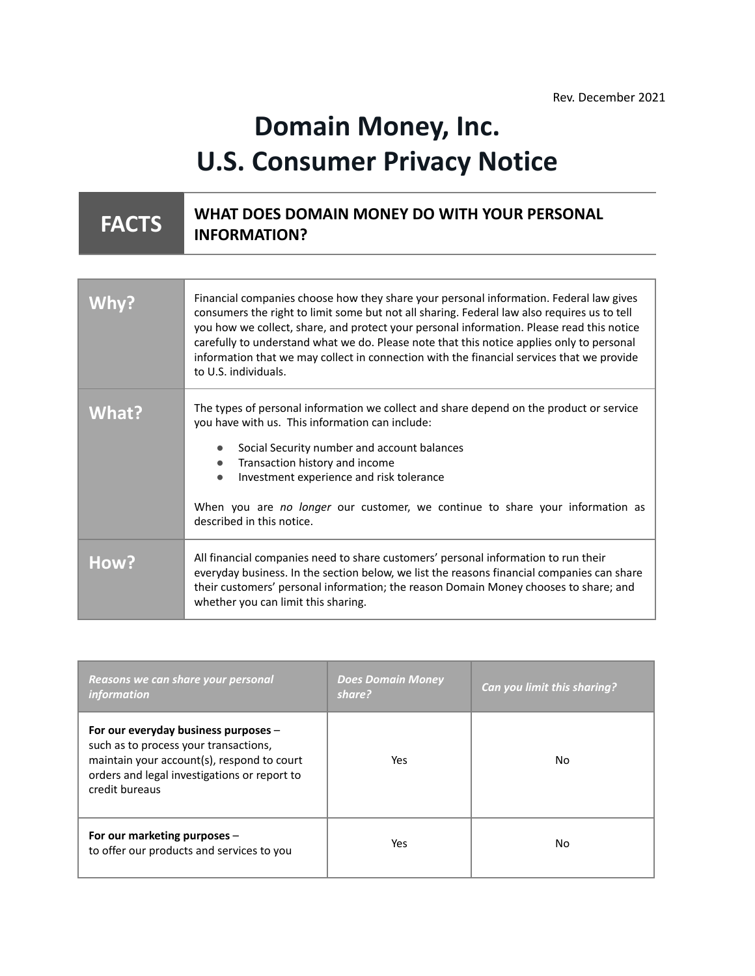# **Domain Money, Inc. U.S. Consumer Privacy Notice**

#### **FACTS WHAT DOES DOMAIN MONEY DO WITH YOUR PERSONAL INFORMATION?**

|              | Financial companies choose how they share your personal information. Federal law gives<br>consumers the right to limit some but not all sharing. Federal law also requires us to tell<br>you how we collect, share, and protect your personal information. Please read this notice<br>carefully to understand what we do. Please note that this notice applies only to personal<br>information that we may collect in connection with the financial services that we provide<br>to U.S. individuals. |
|--------------|------------------------------------------------------------------------------------------------------------------------------------------------------------------------------------------------------------------------------------------------------------------------------------------------------------------------------------------------------------------------------------------------------------------------------------------------------------------------------------------------------|
| <b>What?</b> | The types of personal information we collect and share depend on the product or service<br>you have with us. This information can include:<br>Social Security number and account balances<br>Transaction history and income<br>$\bullet$<br>Investment experience and risk tolerance<br>When you are no longer our customer, we continue to share your information as<br>described in this notice.                                                                                                   |
| How?         | All financial companies need to share customers' personal information to run their<br>everyday business. In the section below, we list the reasons financial companies can share<br>their customers' personal information; the reason Domain Money chooses to share; and<br>whether you can limit this sharing.                                                                                                                                                                                      |

| Reasons we can share your personal<br><i>information</i>                                                                                                                                      | <b>Does Domain Money</b><br>share? | Can you limit this sharing? |
|-----------------------------------------------------------------------------------------------------------------------------------------------------------------------------------------------|------------------------------------|-----------------------------|
| For our everyday business purposes -<br>such as to process your transactions,<br>maintain your account(s), respond to court<br>orders and legal investigations or report to<br>credit bureaus | Yes.                               | No                          |
| For our marketing purposes -<br>to offer our products and services to you                                                                                                                     | Yes.                               | No                          |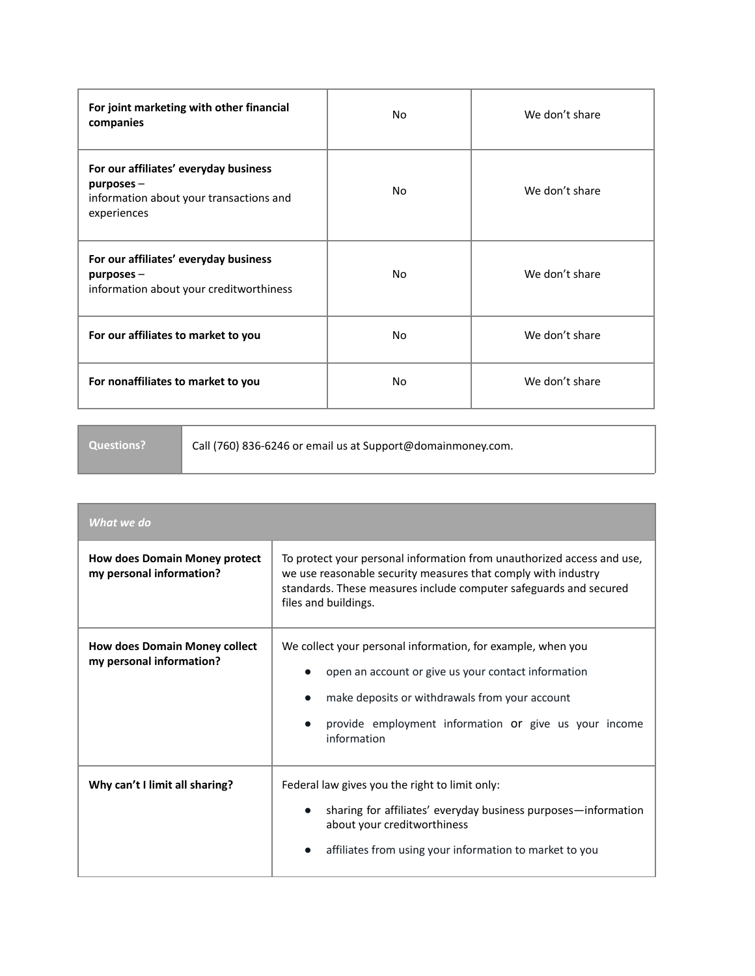| For joint marketing with other financial<br>companies                                                            | No  | We don't share |
|------------------------------------------------------------------------------------------------------------------|-----|----------------|
| For our affiliates' everyday business<br>$p$ urposes –<br>information about your transactions and<br>experiences | No  | We don't share |
| For our affiliates' everyday business<br>$p$ urposes $-$<br>information about your creditworthiness              | No  | We don't share |
| For our affiliates to market to you                                                                              | No. | We don't share |
| For nonaffiliates to market to you                                                                               | No. | We don't share |

**Questions?** Call (760) 836-6246 or email us at Support@domainmoney.com.

| What we do                                                       |                                                                                                                                                                                                                                              |
|------------------------------------------------------------------|----------------------------------------------------------------------------------------------------------------------------------------------------------------------------------------------------------------------------------------------|
| <b>How does Domain Money protect</b><br>my personal information? | To protect your personal information from unauthorized access and use,<br>we use reasonable security measures that comply with industry<br>standards. These measures include computer safeguards and secured<br>files and buildings.         |
| <b>How does Domain Money collect</b><br>my personal information? | We collect your personal information, for example, when you<br>open an account or give us your contact information<br>make deposits or withdrawals from your account<br>provide employment information or give us your income<br>information |
| Why can't I limit all sharing?                                   | Federal law gives you the right to limit only:<br>sharing for affiliates' everyday business purposes—information<br>about your creditworthiness<br>affiliates from using your information to market to you                                   |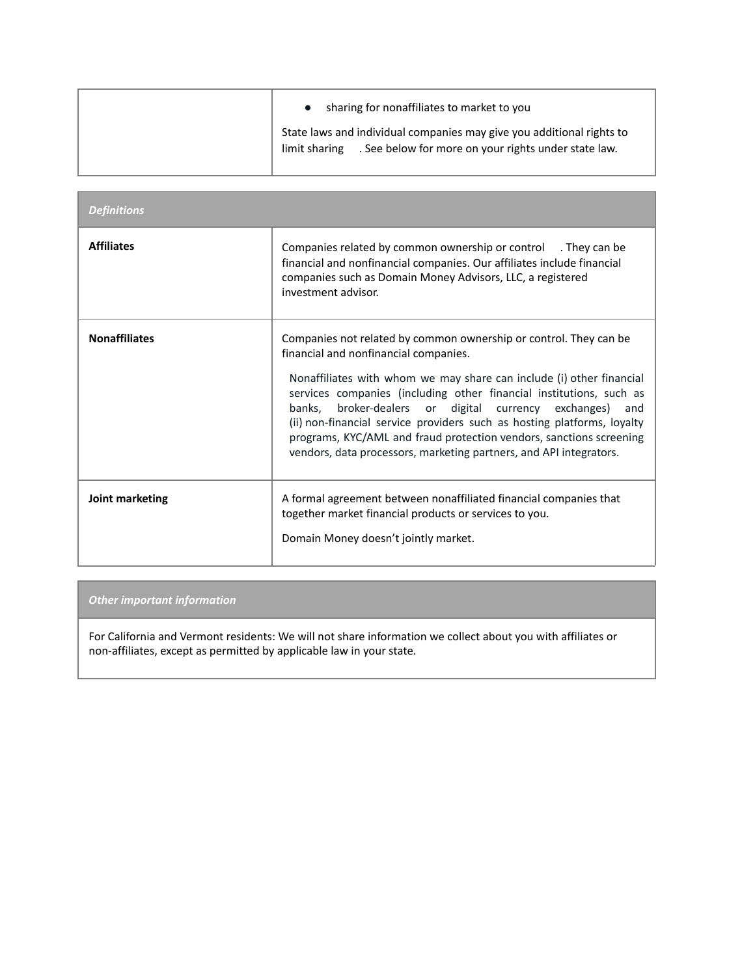| sharing for nonaffiliates to market to you                                                                                                     |
|------------------------------------------------------------------------------------------------------------------------------------------------|
| State laws and individual companies may give you additional rights to<br>. See below for more on your rights under state law.<br>limit sharing |

| <b>Definitions</b>   |                                                                                                                                                                                                                                                                                                                                                                                                                                                                                                                                                     |
|----------------------|-----------------------------------------------------------------------------------------------------------------------------------------------------------------------------------------------------------------------------------------------------------------------------------------------------------------------------------------------------------------------------------------------------------------------------------------------------------------------------------------------------------------------------------------------------|
| <b>Affiliates</b>    | Companies related by common ownership or control . They can be<br>financial and nonfinancial companies. Our affiliates include financial<br>companies such as Domain Money Advisors, LLC, a registered<br>investment advisor.                                                                                                                                                                                                                                                                                                                       |
| <b>Nonaffiliates</b> | Companies not related by common ownership or control. They can be<br>financial and nonfinancial companies.<br>Nonaffiliates with whom we may share can include (i) other financial<br>services companies (including other financial institutions, such as<br>broker-dealers or digital currency exchanges)<br>banks,<br>and<br>(ii) non-financial service providers such as hosting platforms, loyalty<br>programs, KYC/AML and fraud protection vendors, sanctions screening<br>vendors, data processors, marketing partners, and API integrators. |
| Joint marketing      | A formal agreement between nonaffiliated financial companies that<br>together market financial products or services to you.<br>Domain Money doesn't jointly market.                                                                                                                                                                                                                                                                                                                                                                                 |

### *Other important information*

For California and Vermont residents: We will not share information we collect about you with affiliates or non-affiliates, except as permitted by applicable law in your state.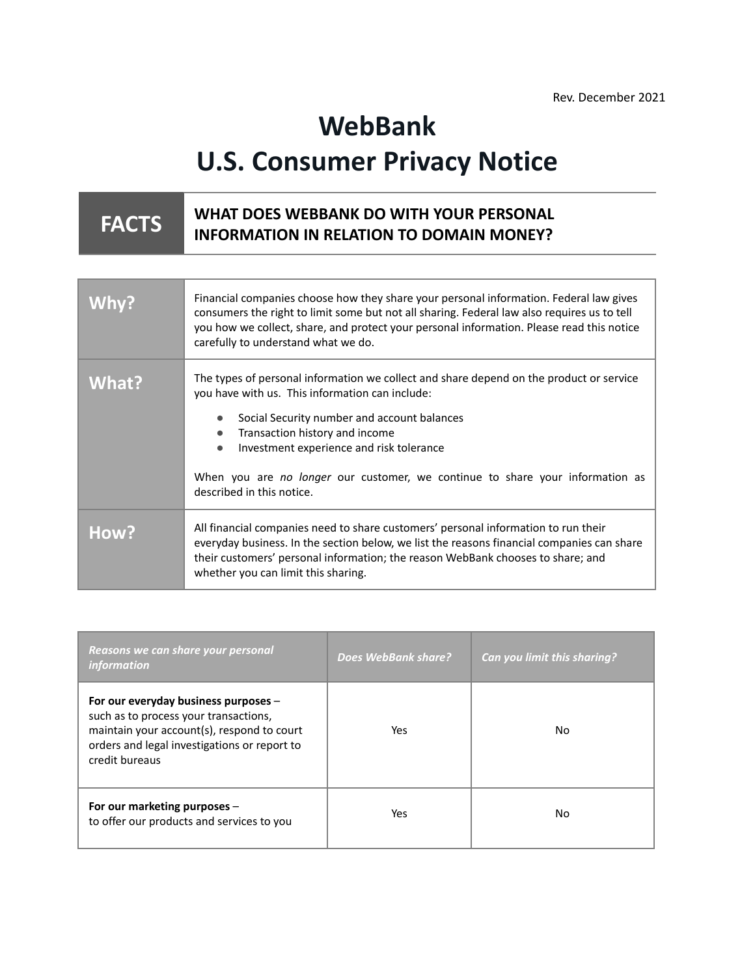# **WebBank U.S. Consumer Privacy Notice**

#### **FACTS WHAT DOES WEBBANK DO WITH YOUR PERSONAL INFORMATION IN RELATION TO DOMAIN MONEY?**

| Why?  | Financial companies choose how they share your personal information. Federal law gives<br>consumers the right to limit some but not all sharing. Federal law also requires us to tell<br>you how we collect, share, and protect your personal information. Please read this notice<br>carefully to understand what we do.                                                                                       |
|-------|-----------------------------------------------------------------------------------------------------------------------------------------------------------------------------------------------------------------------------------------------------------------------------------------------------------------------------------------------------------------------------------------------------------------|
| What? | The types of personal information we collect and share depend on the product or service<br>you have with us. This information can include:<br>Social Security number and account balances<br>Transaction history and income<br>$\bullet$<br>Investment experience and risk tolerance<br>$\bullet$<br>When you are no longer our customer, we continue to share your information as<br>described in this notice. |
| How?  | All financial companies need to share customers' personal information to run their<br>everyday business. In the section below, we list the reasons financial companies can share<br>their customers' personal information; the reason WebBank chooses to share; and<br>whether you can limit this sharing.                                                                                                      |

| Reasons we can share your personal<br><i>information</i>                                                                                                                                      | Does WebBank share? | Can you limit this sharing? |
|-----------------------------------------------------------------------------------------------------------------------------------------------------------------------------------------------|---------------------|-----------------------------|
| For our everyday business purposes -<br>such as to process your transactions,<br>maintain your account(s), respond to court<br>orders and legal investigations or report to<br>credit bureaus | Yes.                | No                          |
| For our marketing purposes -<br>to offer our products and services to you                                                                                                                     | Yes                 | No                          |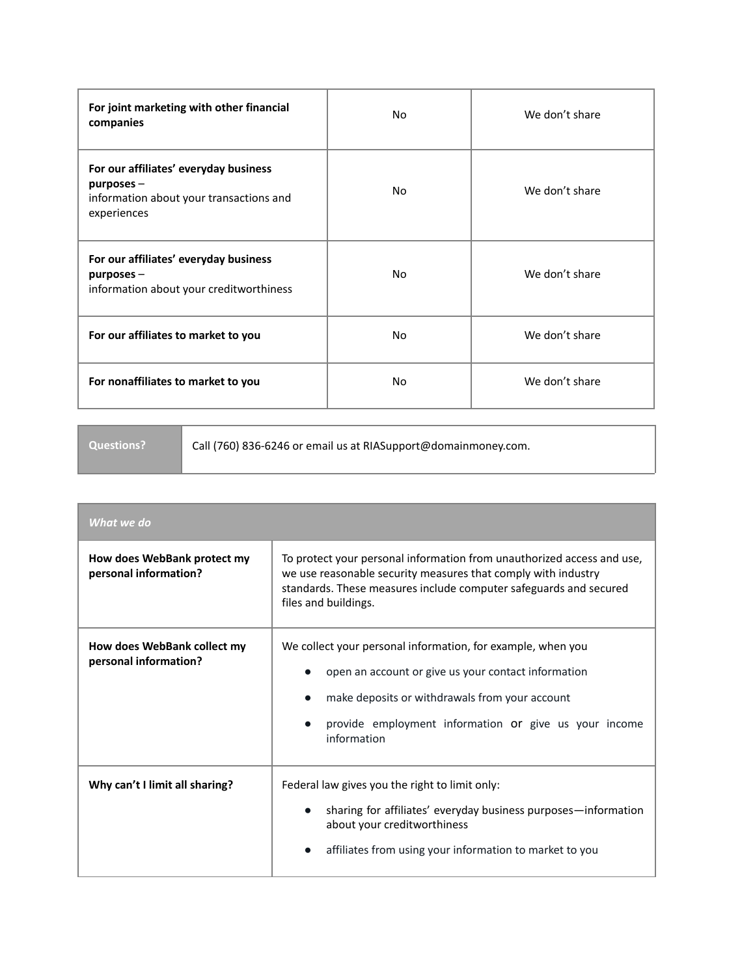| For joint marketing with other financial<br>companies                                                            | No  | We don't share |
|------------------------------------------------------------------------------------------------------------------|-----|----------------|
| For our affiliates' everyday business<br>$p$ urposes –<br>information about your transactions and<br>experiences | No  | We don't share |
| For our affiliates' everyday business<br>$p$ urposes $-$<br>information about your creditworthiness              | No  | We don't share |
| For our affiliates to market to you                                                                              | No. | We don't share |
| For nonaffiliates to market to you                                                                               | No. | We don't share |

**Questions?** Call (760) 836-6246 or email us at RIASupport@domainmoney.com.

| What we do                                           |                                                                                                                                                                                                                                              |
|------------------------------------------------------|----------------------------------------------------------------------------------------------------------------------------------------------------------------------------------------------------------------------------------------------|
| How does WebBank protect my<br>personal information? | To protect your personal information from unauthorized access and use,<br>we use reasonable security measures that comply with industry<br>standards. These measures include computer safeguards and secured<br>files and buildings.         |
| How does WebBank collect my<br>personal information? | We collect your personal information, for example, when you<br>open an account or give us your contact information<br>make deposits or withdrawals from your account<br>provide employment information or give us your income<br>information |
| Why can't I limit all sharing?                       | Federal law gives you the right to limit only:<br>sharing for affiliates' everyday business purposes—information<br>about your creditworthiness<br>affiliates from using your information to market to you                                   |